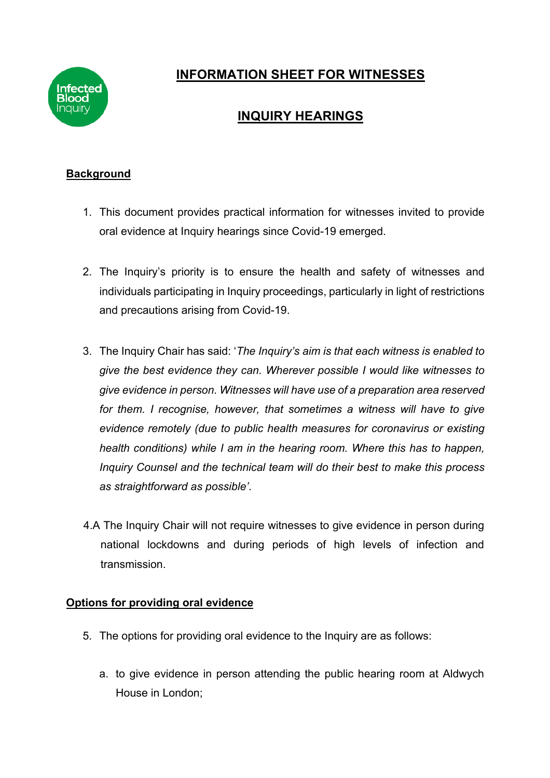

# **INFORMATION SHEET FOR WITNESSES**

## **INQUIRY HEARINGS**

## **Background**

- 1. This document provides practical information for witnesses invited to provide oral evidence at Inquiry hearings since Covid-19 emerged.
- 2. The Inquiry's priority is to ensure the health and safety of witnesses and individuals participating in Inquiry proceedings, particularly in light of restrictions and precautions arising from Covid-19.
- 3. The Inquiry Chair has said: '*The Inquiry's aim is that each witness is enabled to give the best evidence they can. Wherever possible I would like witnesses to give evidence in person. Witnesses will have use of a preparation area reserved for them. I recognise, however, that sometimes a witness will have to give evidence remotely (due to public health measures for coronavirus or existing health conditions) while I am in the hearing room. Where this has to happen, Inquiry Counsel and the technical team will do their best to make this process as straightforward as possible'*.
- 4.A The Inquiry Chair will not require witnesses to give evidence in person during national lockdowns and during periods of high levels of infection and transmission.

## **Options for providing oral evidence**

- 5. The options for providing oral evidence to the Inquiry are as follows:
	- a. to give evidence in person attending the public hearing room at Aldwych House in London;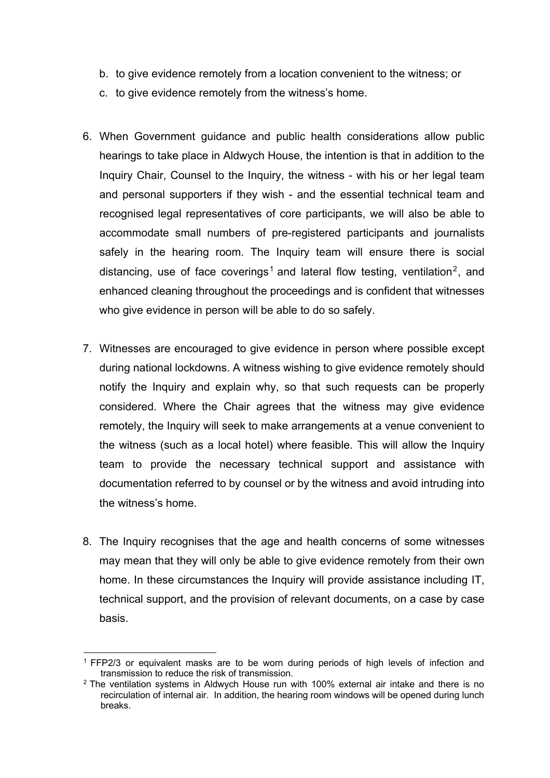- b. to give evidence remotely from a location convenient to the witness; or
- c. to give evidence remotely from the witness's home.
- 6. When Government guidance and public health considerations allow public hearings to take place in Aldwych House, the intention is that in addition to the Inquiry Chair, Counsel to the Inquiry, the witness - with his or her legal team and personal supporters if they wish - and the essential technical team and recognised legal representatives of core participants, we will also be able to accommodate small numbers of pre-registered participants and journalists safely in the hearing room. The Inquiry team will ensure there is social distancing, use of face coverings<sup>1</sup> and lateral flow testing, ventilation<sup>2</sup>, and enhanced cleaning throughout the proceedings and is confident that witnesses who give evidence in person will be able to do so safely.
- 7. Witnesses are encouraged to give evidence in person where possible except during national lockdowns. A witness wishing to give evidence remotely should notify the Inquiry and explain why, so that such requests can be properly considered. Where the Chair agrees that the witness may give evidence remotely, the Inquiry will seek to make arrangements at a venue convenient to the witness (such as a local hotel) where feasible. This will allow the Inquiry team to provide the necessary technical support and assistance with documentation referred to by counsel or by the witness and avoid intruding into the witness's home.
- 8. The Inquiry recognises that the age and health concerns of some witnesses may mean that they will only be able to give evidence remotely from their own home. In these circumstances the Inquiry will provide assistance including IT, technical support, and the provision of relevant documents, on a case by case basis.

<sup>1</sup> FFP2/3 or equivalent masks are to be worn during periods of high levels of infection and transmission to reduce the risk of transmission.

 $2$  The ventilation systems in Aldwych House run with 100% external air intake and there is no recirculation of internal air. In addition, the hearing room windows will be opened during lunch breaks.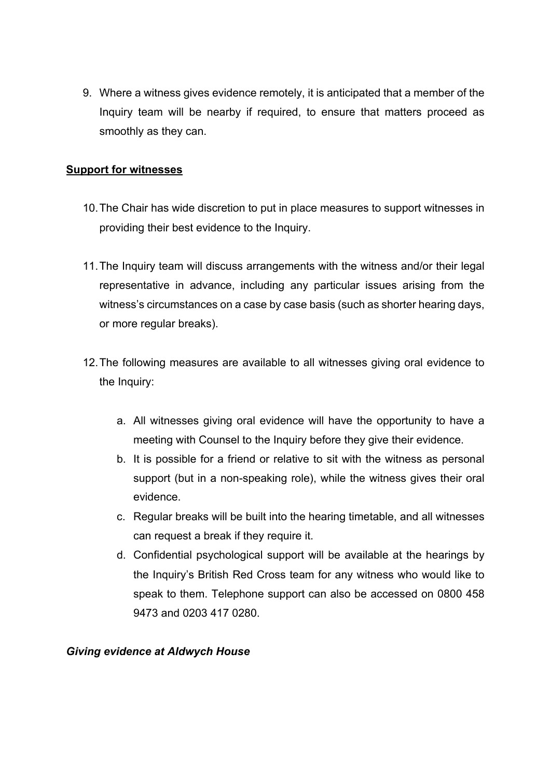9. Where a witness gives evidence remotely, it is anticipated that a member of the Inquiry team will be nearby if required, to ensure that matters proceed as smoothly as they can.

### **Support for witnesses**

- 10.The Chair has wide discretion to put in place measures to support witnesses in providing their best evidence to the Inquiry.
- 11.The Inquiry team will discuss arrangements with the witness and/or their legal representative in advance, including any particular issues arising from the witness's circumstances on a case by case basis (such as shorter hearing days, or more regular breaks).
- 12.The following measures are available to all witnesses giving oral evidence to the Inquiry:
	- a. All witnesses giving oral evidence will have the opportunity to have a meeting with Counsel to the Inquiry before they give their evidence.
	- b. It is possible for a friend or relative to sit with the witness as personal support (but in a non-speaking role), while the witness gives their oral evidence.
	- c. Regular breaks will be built into the hearing timetable, and all witnesses can request a break if they require it.
	- d. Confidential psychological support will be available at the hearings by the Inquiry's British Red Cross team for any witness who would like to speak to them. Telephone support can also be accessed on 0800 458 9473 and 0203 417 0280.

#### *Giving evidence at Aldwych House*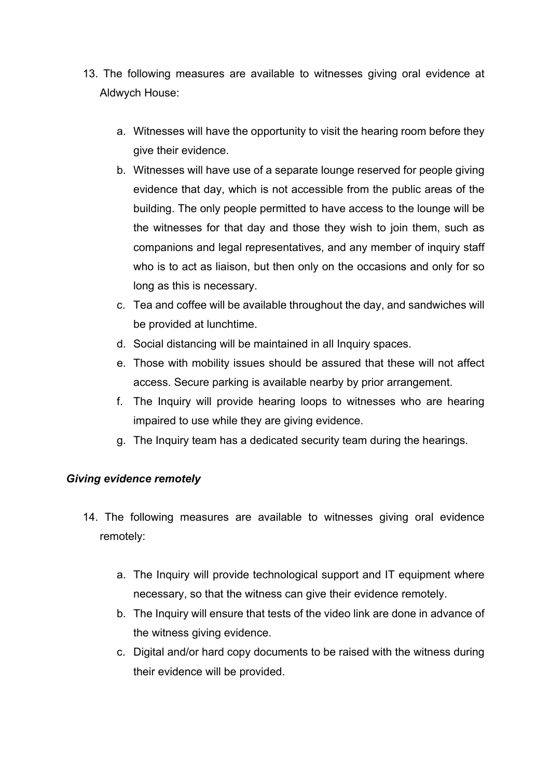- 13. The following measures are available to witnesses giving oral evidence at Aldwych House:
	- a. Witnesses will have the opportunity to visit the hearing room before they give their evidence.
	- b. Witnesses will have use of a separate lounge reserved for people giving evidence that day, which is not accessible from the public areas of the building. The only people permitted to have access to the lounge will be the witnesses for that day and those they wish to join them, such as companions and legal representatives, and any member of inquiry staff who is to act as liaison, but then only on the occasions and only for so long as this is necessary.
	- c. Tea and coffee will be available throughout the day, and sandwiches will be provided at lunchtime.
	- d. Social distancing will be maintained in all Inquiry spaces.
	- e. Those with mobility issues should be assured that these will not affect access. Secure parking is available nearby by prior arrangement.
	- f. The Inquiry will provide hearing loops to witnesses who are hearing impaired to use while they are giving evidence.
	- g. The Inquiry team has a dedicated security team during the hearings.

## *Giving evidence remotely*

- 14. The following measures are available to witnesses giving oral evidence remotely:
	- a. The Inquiry will provide technological support and IT equipment where necessary, so that the witness can give their evidence remotely.
	- b. The Inquiry will ensure that tests of the video link are done in advance of the witness giving evidence.
	- c. Digital and/or hard copy documents to be raised with the witness during their evidence will be provided.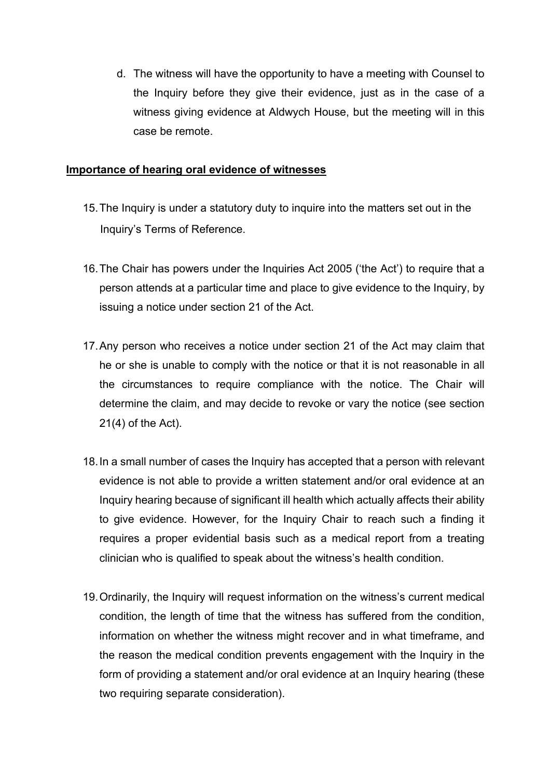d. The witness will have the opportunity to have a meeting with Counsel to the Inquiry before they give their evidence, just as in the case of a witness giving evidence at Aldwych House, but the meeting will in this case be remote.

#### **Importance of hearing oral evidence of witnesses**

- 15.The Inquiry is under a statutory duty to inquire into the matters set out in the Inquiry's Terms of Reference.
- 16.The Chair has powers under the Inquiries Act 2005 ('the Act') to require that a person attends at a particular time and place to give evidence to the Inquiry, by issuing a notice under section 21 of the Act.
- 17.Any person who receives a notice under section 21 of the Act may claim that he or she is unable to comply with the notice or that it is not reasonable in all the circumstances to require compliance with the notice. The Chair will determine the claim, and may decide to revoke or vary the notice (see section 21(4) of the Act).
- 18.In a small number of cases the Inquiry has accepted that a person with relevant evidence is not able to provide a written statement and/or oral evidence at an Inquiry hearing because of significant ill health which actually affects their ability to give evidence. However, for the Inquiry Chair to reach such a finding it requires a proper evidential basis such as a medical report from a treating clinician who is qualified to speak about the witness's health condition.
- 19.Ordinarily, the Inquiry will request information on the witness's current medical condition, the length of time that the witness has suffered from the condition, information on whether the witness might recover and in what timeframe, and the reason the medical condition prevents engagement with the Inquiry in the form of providing a statement and/or oral evidence at an Inquiry hearing (these two requiring separate consideration).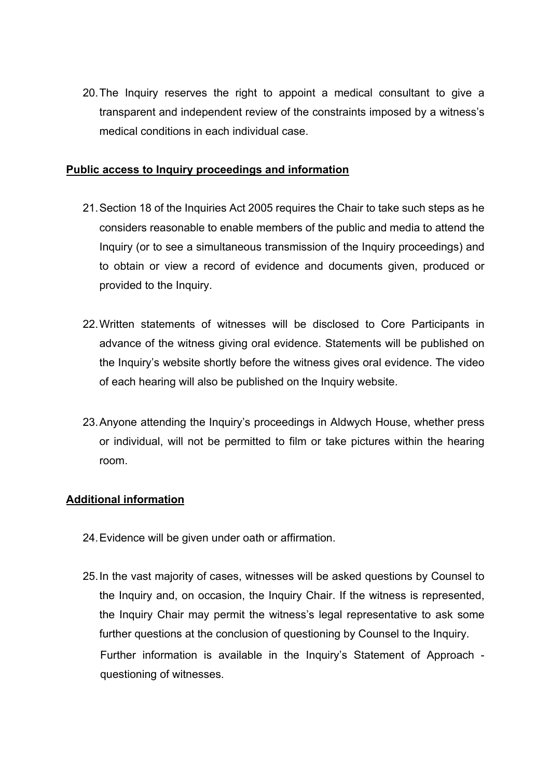20.The Inquiry reserves the right to appoint a medical consultant to give a transparent and independent review of the constraints imposed by a witness's medical conditions in each individual case.

#### **Public access to Inquiry proceedings and information**

- 21.Section 18 of the Inquiries Act 2005 requires the Chair to take such steps as he considers reasonable to enable members of the public and media to attend the Inquiry (or to see a simultaneous transmission of the Inquiry proceedings) and to obtain or view a record of evidence and documents given, produced or provided to the Inquiry.
- 22.Written statements of witnesses will be disclosed to Core Participants in advance of the witness giving oral evidence. Statements will be published on the Inquiry's website shortly before the witness gives oral evidence. The video of each hearing will also be published on the Inquiry website.
- 23.Anyone attending the Inquiry's proceedings in Aldwych House, whether press or individual, will not be permitted to film or take pictures within the hearing room.

#### **Additional information**

- 24.Evidence will be given under oath or affirmation.
- 25.In the vast majority of cases, witnesses will be asked questions by Counsel to the Inquiry and, on occasion, the Inquiry Chair. If the witness is represented, the Inquiry Chair may permit the witness's legal representative to ask some further questions at the conclusion of questioning by Counsel to the Inquiry. Further information is available in the Inquiry's Statement of Approach questioning of witnesses.